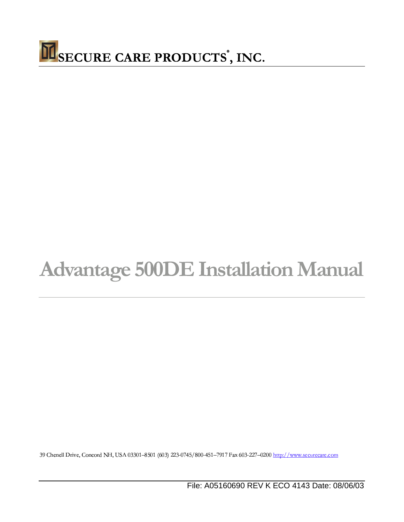

# **Advantage 500DE Installation Manual**

39 Chenell Drive, Concord NH, USA 03301-8501 (603) 223-0745/800-451-7917 Fax 603-227-0200 http://www.securecare.com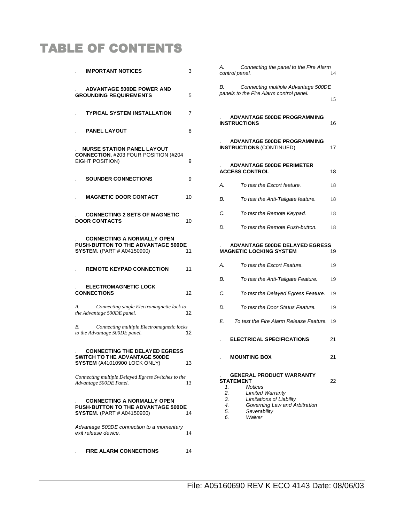# **TABLE OF CONTENTS**

| <b>IMPORTANT NOTICES</b>                                                                                     | 3  |
|--------------------------------------------------------------------------------------------------------------|----|
| <b>ADVANTAGE 500DE POWER AND</b><br><b>GROUNDING REQUIREMENTS</b>                                            | 5  |
| <b>TYPICAL SYSTEM INSTALLATION</b>                                                                           | 7  |
| <b>PANEL LAYOUT</b>                                                                                          | 8  |
| <b>NURSE STATION PANEL LAYOUT</b><br><b>CONNECTION, #203 FOUR POSITION (#204</b><br>EIGHT POSITION)          | 9  |
| <b>SOUNDER CONNECTIONS</b>                                                                                   | 9  |
| <b>MAGNETIC DOOR CONTACT</b>                                                                                 | 10 |
| <b>CONNECTING 2 SETS OF MAGNETIC</b><br><b>DOOR CONTACTS</b>                                                 | 10 |
| <b>CONNECTING A NORMALLY OPEN</b><br>PUSH-BUTTON TO THE ADVANTAGE 500DE<br><b>SYSTEM.</b> (PART # A04150900) | 11 |
| <b>REMOTE KEYPAD CONNECTION</b>                                                                              | 11 |
| <b>ELECTROMAGNETIC LOCK</b><br><b>CONNECTIONS</b>                                                            | 12 |
| А.<br>Connecting single Electromagnetic lock to<br>the Advantage 500DE panel.                                | 12 |
| Connecting multiple Electromagnetic locks<br>В.<br>to the Advantage 500DE panel.                             | 12 |
| <b>CONNECTING THE DELAYED EGRESS</b><br>SWITCH TO THE ADVANTAGE 500DE<br>SYSTEM (A41010900 LOCK ONLY)        | 13 |
| Connecting multiple Delayed Egress Switches to the<br>Advantage 500DE Panel.                                 | 13 |
| <b>CONNECTING A NORMALLY OPEN</b><br>PUSH-BUTTON TO THE ADVANTAGE 500DE<br><b>SYSTEM.</b> (PART # A04150900) | 14 |
| Advantage 500DE connection to a momentary<br>exit release device.                                            | 14 |
| <b>FIRE ALARM CONNECTIONS</b>                                                                                | 14 |

| А.<br>Connecting the panel to the Fire Alarm<br>control panel.                                                                                                                                  | 14  |
|-------------------------------------------------------------------------------------------------------------------------------------------------------------------------------------------------|-----|
| В.<br>Connecting multiple Advantage 500DE<br>panels to the Fire Alarm control panel.                                                                                                            | 15  |
| <b>ADVANTAGE 500DE PROGRAMMING</b><br><b>INSTRUCTIONS</b>                                                                                                                                       | 16  |
| <b>ADVANTAGE 500DE PROGRAMMING</b><br><b>INSTRUCTIONS (CONTINUED)</b>                                                                                                                           | 17  |
| <b>ADVANTAGE 500DE PERIMETER</b><br><b>ACCESS CONTROL</b>                                                                                                                                       | 18  |
| А.<br>To test the Escort feature.                                                                                                                                                               | 18  |
| В.<br>To test the Anti-Tailgate feature.                                                                                                                                                        | 18  |
| С.<br>To test the Remote Keypad.                                                                                                                                                                | 18  |
| D.<br>To test the Remote Push-button.                                                                                                                                                           | 18  |
| <b>ADVANTAGE 500DE DELAYED EGRESS</b><br><b>MAGNETIC LOCKING SYSTEM</b>                                                                                                                         | 19  |
| А.<br>To test the Escort Feature.                                                                                                                                                               | 19  |
| В.<br>To test the Anti-Tailgate Feature.                                                                                                                                                        | 19  |
| C.<br>To test the Delayed Egress Feature.                                                                                                                                                       | -19 |
| To test the Door Status Feature.<br>D.                                                                                                                                                          | 19  |
| Е.<br>To test the Fire Alarm Release Feature.                                                                                                                                                   | 19  |
| <b>ELECTRICAL SPECIFICATIONS</b>                                                                                                                                                                | 21  |
| <b>MOUNTING BOX</b>                                                                                                                                                                             | 21  |
| <b>GENERAL PRODUCT WARRANTY</b><br><b>STATEMENT</b><br><b>Notices</b><br>1.<br>2.<br><b>Limited Warranty</b><br>Limitations of Liability<br>3.<br>Governing Law and Arhitration<br>$\mathbf{A}$ | 22  |

- 4. Governing Law and Arbitration
- 5. Severability 6. Waiver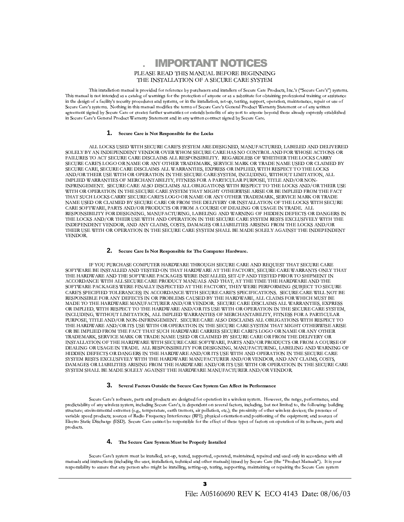**IMPORTANT NOTICES** PLEASE READ THIS MANUAL BEFORE BEGINNING THE INSTALLATION OF A SECURE CARE SYSTEM

This installation manual is provided for reference by purchasers and installers of Secure Care Products, Inc.'s ("Secure Care's") systems. This manual is not intended as a catalog of warnings for the protection of anyone or as a substitute for obtaining professional training or assistance in the design of a facility's security procedures and systems, or in the installation, set-up, testing, support, operation, maintenance, repair or use of Secure Care's systems. Nothing in this manual modifies the terms of Secure Care's General Product Warranty Statement or of any written agreement signed by Secure Care or creates further warranties or extends benefits of any sort to anyone beyond those already expressly established in Secure Care's General Product Warranty Statement and in any written contract signed by Secure Care.

#### 1. Secure Care is Not Responsible for the Locks

ALL LOCKS USED WITH SECURE CARE'S SYSTEM ARE DESIGNED, MANUFACTURED, LABELED AND DELIVERED SOLELY BY AN INDEPENDENT VENDOR OVER WHOM SECURE CARE HAS NO CONTROL AND FOR WHOSE ACTIONS OR FAILURES TO ACT SECURE CARE DISCLAIMS ALL RESPONSIBILITY. REGARDLESS OF WHETHER THE LOCKS CARRY SECURE CARE'S LOGO OR NAME OR ANY OTHER TRADEMARK, SERVICE MARK OR TRADE NAME USED OR CLAIMED BY SECURE CARE, SECURE CARE DISCLAIMS ALL WARRANTIES, EXPRESS OR IMPLIED, WITH RESPECT TO THE LOCKS AND/OR THEIR USE WITH OR OPERATION IN THE SECURE CARE SYSTEM, INCLUDING, WITHOUT LIMITATION, ALL IMPLIED WARRANTIES OF MERCHANTABILITY, FITNESS FOR A PARTICULAR PURPOSE, TITLE AND/OR NON-INFRINGEMENT. SECURE CARE ALSO DISCLAIMS ALL OBLIGATIONS WITH RESPECT TO THE LOCKS AND/OR THEIR USE WITH OR OPERATION IN THE SECURE CARE SYSTEM THAT MIGHT OTHERWISE ARISE OR BE IMPLIED FROM THE FACT THAT SUCH LOCKS CARRY SECURE CARE'S LOGO OR NAME OR ANY OTHER TRADEMARK, SERVICE MARK OR TRADE NAME USED OR CLAIMED BY SECURE CARE OR FROM THE DELIVERY OR INSTALLATION OF THE LOCKS WITH SECURE CARE SOFTWARE, PARTS AND/OR PRODUCTS OR FROM A COURSE OF DEALING OR USAGE IN TRADE. ALL RESPONSIBILITY FOR DESIGNING, MANUFACTURING, LABELING AND WARNING OF HIDDEN DEFECTS OR DANGERS IN THE LOCKS AND/OR THEIR USE WITH AND OPERATION IN THE SECURE CARE SYSTEM RESTS EXCLUSIVELY WITH THE INDEPENDENT VENDOR, AND ANY CLAIMS, COSTS, DAMAGES OR LIABILITIES ARISING FROM THE LOCKS AND/OR THEIR USE WITH OR OPERATION IN THE SECURE CARE SYSTEM SHALL BE MADE SOLELY AGAINST THE INDEPENDENT VENDOR.

#### 2. Secure Care Is Not Responsible for The Computer Hardware.

IF YOU PURCHASE COMPUTER HARDWARE THROUGH SECURE CARE AND REQUEST THAT SECURE CARE SOFTWARE BE INSTALLED AND TESTED ON THAT HARDWARE AT THE FACTORY, SECURE CARE WARRANTS ONLY THAT THE HARDWARE AND THE SOFTWARE PACKAGES WERE INSTALLED, SET-UP AND TESTED PRIOR TO SHIPMENT IN ACCORDANCE WITH ALL SECURE CARE PRODUCT MANUALS AND THAT, AT THE TIME THE HARDWARE AND THE SOFTWARE PACKAGES WERE FINALLY INSPECTED AT THE FACTORY, THEY WERE PERFORMING (SUBJECT TO SECURE CARE'S SPECIFIED TOLERANCES) IN ACCORDANCE WITH SECURE CARE'S SPECIFICATIONS. SECURE CARE WILL NOT BE RESPONSIBLE FOR ANY DEFECTS IN OR PROBLEMS CAUSED BY THE HARDWARE, ALL CLAIMS FOR WHICH MUST BE MADE TO THE HARDWARE MANUFACTURER AND/OR VENDOR. SECURE CARE DISCLAIMS ALL WARRANTIES, EXPRESS OR IMPLIED, WITH RESPECT TO THE HARDWARE AND/OR ITS USE WITH OR OPERATION IN THE SECURE CARE SYSTEM, INCLUDING, WITHOUT LIMITATION, ALL IMPLIED WARRANTIES OF MERCHANTABILITY, FITNESS FOR A PARTICULAR PURPOSE, TITLE AND/OR NON-INFRINGEMENT. SECURE CARE ALSO DISCLAIMS ALL OBLIGATIONS WITH RESPECT TO THE HARDWARE AND/OR ITS USE WITH OR OPERATION IN THE SECURE CARE SYSTEM THAT MIGHT OTHERWISE ARISE OR BE IMPLIED FROM THE FACT THAT SUCH HARDWARE CARRIES SECURE CARE'S LOGO OR NAME OR ANY OTHER TRADEMARK, SERVICE MARK OR TRADE NAME USED OR CLAIMED BY SECURE CARE OR FROM THE DELIVERY OR INSTALLATION OF THE HARDWARE WITH SECURE CARE SOFTWARE, PARTS AND/OR PRODUCTS OR FROM A COURSE OF DEALING OR USAGE IN TRADE. ALL RESPONSIBILITY FOR DESIGNING, MANUFACTURING, LABELING AND WARNING OF HIDDEN DEFECTS OR DANGERS IN THE HARDWARE AND/OR ITS USE WITH AND OPERATION IN THE SECURE CARE SYSTEM RESTS EXCLUSIVELY WITH THE HARDWARE MANUFACTURER AND/OR VENDOR, AND ANY CLAIMS, COSTS, DAMAGES OR LIABILITIES ARISING FROM THE HARDWARE AND/OR ITS USE WITH OR OPERATION IN THE SECURE CARE SYSTEM SHALL BE MADE SOLELY AGAINST THE HARDWARE MANUFACTURER AND/OR VENDOR.

#### 3. Several Factors Outside the Secure Care System Can Affect its Performance

Secure Care's software, parts and products are designed for operation in a wireless system. However, the range, performance, and predictability of any wireless system, including Secure Care's, is dependent on several factors, including, but not limited to, the following: building structure; environmental extremes (e.g., temperature, earth tremors, air pollution, etc.); the proximity of other wireless devices; the presence of variable speed products; sources of Radio Frequency Interference (RFI); physical orientation and positioning of the equipment; and sources of Electro Static Discharge (ESD). Secure Care cannot be responsible for the effect of these types of factors on operation of its software, parts and products.

#### 4. The Secure Care System Must be Properly Installed

Secure Care's system must be installed, set-up, tested, supported, operated, maintained, repaired and used only in accordance with all manuals and instructions (including the user, installation, technical and other manuals) issued by Secure Care (the "Product Manuals"). It is your responsibility to assure that any person who might be installing, setting-up, testing, supporting, maintaining or repairing the Secure Care system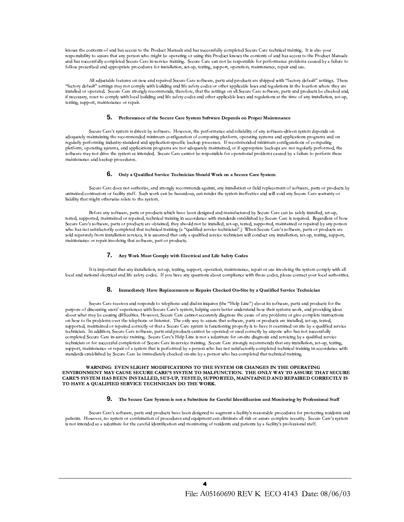knows the contents of and has access to the Product Manuals and has successfully completed Secure Care technical training. It is also your responsibility to assure that any person who might be operating or using this Product knows the contents of and has access to the Product Manuals and has successfully completed Secure Care in-service training. Secure Care can not be responsible for performance problems caused by a failure to follow prescribed and appropriate procedures for installation, set-up, testing, support, operation, maintenance, repair and use.

All adjustable features on new and repaired Secure Care software, parts and products are shipped with "factory default" settings. These "factory default" settings may not comply with building and life safety codes or other applicable laws and regulations in the location where they are installed or operated. Secure Care strongly recommends, therefore, that the settings on all Secure Care software, parts and products be checked and, if necessary, reset to comply with local building and life safety codes and other applicable laws and regulations at the time of any installation, set-up, testing, support, maintenance or repair.

#### 5. Performance of the Secure Care System Software Depends on Proper Maintenance

Secure Care's system is driven by software. However, the performance and reliability of any software-driven system depends on adequately maintaining the recommended minimum configuration of computing platform, operating systems and applications programs and on regularly performing industry-standard and application-specific backup processes. If recommended minimum configurations of computing platform, operating systems, and applications programs are not adequately maintained, or if appropriate backups are not regularly performed, the software may not drive the system as intended. Secure Care cannot be responsible for operational problems caused by a failure to perform these maintenance and backup procedures.

#### 6. Only a Qualified Service Technician Should Work on a Secure Care System

Secure Care does not authorize, and strongly recommends against, any installation or field replacement of software, parts or products by untrained contractors or facility staff. Such work can be hazardous, can render the system ineffective and will void any Secure Care warranty or liability that might otherwise relate to the system.

Before any software, parts or products which have been designed and manufactured by Secure Care can be safely installed, set-up, tested, supported, maintained or repaired, technical training in accordance with standards established by Secure Care is required. Regardless of how Secure Care's software, parts or products are obtained, they should not be installed, set-up, tested, supported, maintained or repaired by any person who has not satisfactorily completed that technical training (a "qualified service technician".) When Secure Care's software, parts or products are sold separately from installation services, it is assumed that only a qualified service technician will conduct any installation, set-up, testing, support, maintenance or repair involving that software, part or products.

#### 7. Any Work Must Comply with Electrical and Life Safety Codes

It is important that any installation, set-up, testing, support, operation, maintenance, repair or use involving the system comply with all local and national electrical and life safety codes. If you have any questions about compliance with those codes, please contact your local authorities.

#### 8. Immediately Have Replacements or Repairs Checked On-Site by a Qualified Service Technician

Secure Care receives and responds to telephone and dial-in inquires (the "Help Line") about its software, parts and products for the purpose of discussing users' experiences with Secure Care's system, helping users better understand how their systems work, and providing ideas about what may be causing difficulties. However, Secure Care cannot accurately diagnose the cause of any problems or give complete instructions on how to fix problems over the telephone or Internet. The only way to assure that software, parts or products are installed, set-up, tested, supported, maintained or repaired correctly or that a Secure Care system is functioning properly is to have it examined on site by a qualified service technician. In addition, Secure Care software, parts and products cannot be operated or used correctly by anyone who has not successfully completed Secure Care in-service training. Secure Care's Help Line is not a substitute for on-site diagnosis and servicing by a qualified service technician or for successful completion of Secure Care in-service training. Secure Care strongly recommends that any installation, set-up, testing, support, maintenance or repair of a system that is performed by a person who has not satisfactorily completed technical training in accordance with standards established by Secure Care be immediately checked on-site by a person who has completed that technical training.

#### WARNING: EVEN SLIGHT MODIFICATIONS TO THE SYSTEM OR CHANGES IN THE OPERATING ENVIRONMENT MAY CAUSE SECURE CARE'S SYSTEM TO MALFUNCTION. THE ONLY WAY TO ASSURE THAT SECURE CARE'S SYSTEM HAS BEEN INSTALLED, SET-UP, TESTED, SUPPORTED, MAINTAINED AND REPAIRED CORRECTLY IS TO HAVE A QUALIFIED SERVICE TECHNICIAN DO THE WORK.

#### 9. The Secure Care System is not a Substitute for Careful Identification and Monitoring by Professional Staff

Secure Care's software, parts and products have been designed to augment a facility's reasonable procedures for protecting residents and patients. However, no system or combination of procedures and equipment can eliminate all risk or assure complete security. Secure Care's system is not intended as a substitute for the careful identification and monitoring of residents and patients by a facility's professional staff.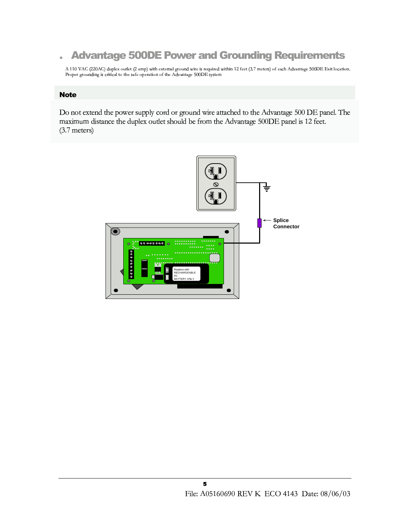#### **Advantage 500DE Power and Grounding Requirements** i.

A 110 VAC (220AC) duplex outlet (2 amp) with external ground wire is required within 12 feet (3.7 meters) of each Advantage 500DE Exit location. Proper grounding is critical to the safe operation of the Advantage 500DE system

### **Note**

Do not extend the power supply cord or ground wire attached to the Advantage 500 DE panel. The maximum distance the duplex outlet should be from the Advantage 500DE panel is 12 feet.  $(3.7$  meters)

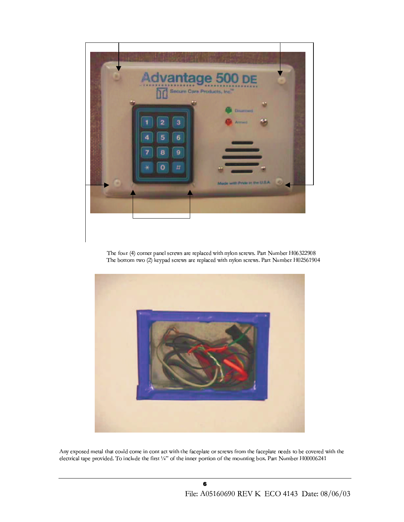

The four (4) corner panel screws are replaced with nylon screws. Part Number H06322908 The bottom two (2) keypad screws are replaced with nylon screws. Part Number H02561904



Any exposed metal that could come in cont act with the faceplate or screws from the faceplate needs to be covered with the electrical tape provided. To include the first 1/4" of the inner portion of the mounting box. Part Number H00006241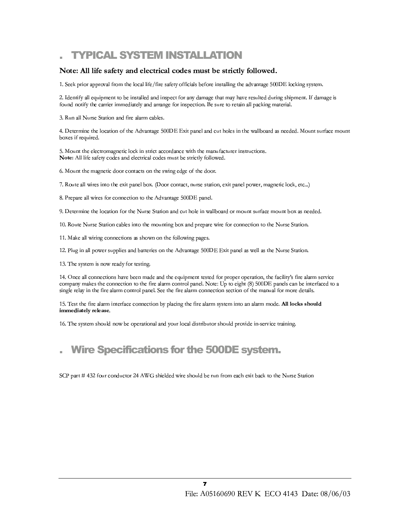### **TYPICAL SYSTEM INSTALLATION**

### Note: All life safety and electrical codes must be strictly followed.

1. Seek prior approval from the local life/fire safety officials before installing the advantage 500DE locking system.

2. Identify all equipment to be installed and inspect for any damage that may have resulted during shipment. If damage is found notify the carrier immediately and arrange for inspection. Be sure to retain all packing material.

3. Run all Nurse Station and fire alarm cables.

4. Determine the location of the Advantage 500DE Exit panel and cut holes in the wallboard as needed. Mount surface mount boxes if required.

5. Mount the electromagnetic lock in strict accordance with the manufacturer instructions. Note: All life safety codes and electrical codes must be strictly followed.

6. Mount the magnetic door contacts on the swing edge of the door.

7. Route all wires into the exit panel box. (Door contact, nurse station, exit panel power, magnetic lock, etc...)

8. Prepare all wires for connection to the Advantage 500DE panel.

9. Determine the location for the Nurse Station and cut hole in wallboard or mount surface mount box as needed.

10. Route Nurse Station cables into the mounting box and prepare wire for connection to the Nurse Station.

11. Make all wiring connections as shown on the following pages.

12. Plug in all power supplies and batteries on the Advantage 500DE Exit panel as well as the Nurse Station.

13. The system is now ready for testing.

14. Once all connections have been made and the equipment tested for proper operation, the facility's fire alarm service company makes the connection to the fire alarm control panel. Note: Up to eight (8) 500DE panels can be interfaced to a single relay in the fire alarm control panel. See the fire alarm connection section of the manual for more details.

15. Test the fire alarm interface connection by placing the fire alarm system into an alarm mode. All locks should immediately release.

16. The system should now be operational and your local distributor should provide in-service training.

### **Wire Specifications for the 500DE system.**

SCP part #432 four conductor 24 AWG shielded wire should be run from each exit back to the Nurse Station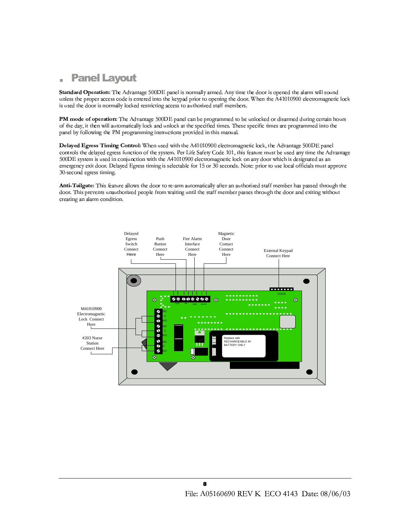#### **Panel Layout**  $\blacksquare$

Standard Operation: The Advantage 500DE panel is normally armed. Any time the door is opened the alarm will sound unless the proper access code is entered into the keypad prior to opening the door. When the A41010900 electromagnetic lock is used the door is normally locked restricting access to authorized staff members.

PM mode of operation: The Advantage 500DE panel can be programmed to be unlocked or disarmed during certain hours of the day, it then will automatically lock and unlock at the specified times. These specific times are programmed into the panel by following the PM programming instructions provided in this manual.

Delayed Egress Timing Control: When used with the A41010900 electromagnetic lock, the Advantage 500DE panel controls the delayed egress function of the system. Per Life Safety Code 101, this feature must be used any time the Advantage 500DE system is used in conjunction with the A41010900 electromagnetic lock on any door which is designated as an emergency exit door. Delayed Egress timing is selectable for 15 or 30 seconds. Note: prior to use local officials must approve 30-second egress timing.

Anti-Tailgate: This feature allows the door to re-arm automatically after an authorized staff member has passed through the door. This prevents unauthorized people from waiting until the staff member passes through the door and exiting without creating an alarm condition.

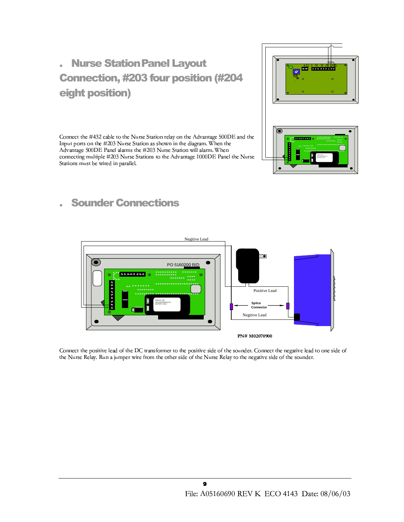# **Nurse Station Panel Layout Connection, #203 four position (#204** eight position)

Connect the #432 cable to the Nurse Station relay on the Advantage 500DE and the Input ports on the #203 Nurse Station as shown in the diagram. When the Advantage 500DE Panel alarms the #203 Nurse Station will alarm. When connecting multiple #203 Nurse Stations to the Advantage 1000DE Panel the Nurse Stations must be wired in parallel.





### **Sounder Connections**



Connect the positive lead of the DC transformer to the positive side of the sounder. Connect the negative lead to one side of the Nurse Relay. Run a jumper wire from the other side of the Nurse Relay to the negative side of the sounder.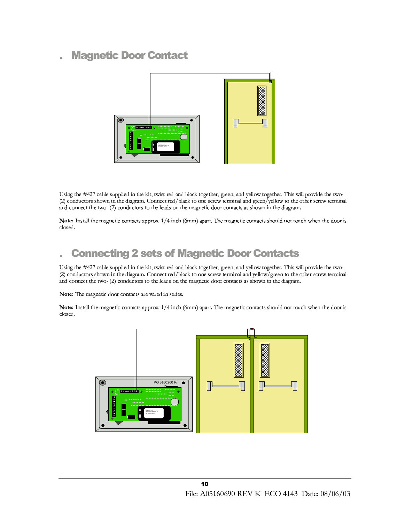### **Magnetic Door Contact**



Using the #427 cable supplied in the kit, twist red and black together, green, and yellow together. This will provide the two-(2) conductors shown in the diagram. Connect red/black to one screw terminal and green/yellow to the other screw terminal and connect the two- (2) conductors to the leads on the magnetic door contacts as shown in the diagram.

Note: Install the magnetic contacts approx. 1/4 inch (6mm) apart. The magnetic contacts should not touch when the door is closed.

### **Connecting 2 sets of Magnetic Door Contacts**

Using the #427 cable supplied in the kit, twist red and black together, green, and yellow together. This will provide the two-(2) conductors shown in the diagram. Connect red/black to one screw terminal and yellow/green to the other screw terminal and connect the two- (2) conductors to the leads on the magnetic door contacts as shown in the diagram.

Note: The magnetic door contacts are wired in series.

Note: Install the magnetic contacts approx. 1/4 inch (6mm) apart. The magnetic contacts should not touch when the door is closed.

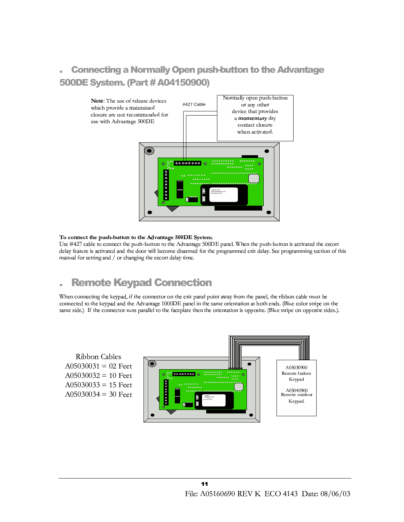### **Connecting a Normally Open push-button to the Advantage** 500DE System. (Part # A04150900)



#### To connect the push-button to the Advantage 500DE System.

Use #427 cable to connect the push-button to the Advantage 500DE panel. When the push-button is activated the escort delay feature is activated and the door will become disarmed for the programmed exit delay. See programming section of this manual for setting and / or changing the escort delay time.

#### **Remote Keypad Connection** ×.

When connecting the keypad, if the connector on the exit panel point away from the panel, the ribbon cable must be connected to the keypad and the Advantage 1000DE panel in the same orientation at both ends. (Blue color stripe on the same side.) If the connector runs parallel to the faceplate then the orientation is opposite. (Blue stripe on opposite sides.).

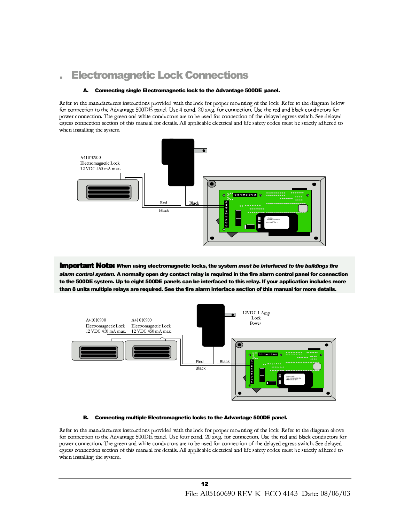### **Electromagnetic Lock Connections**

#### Connecting single Electromagnetic lock to the Advantage 500DE panel. А.

Refer to the manufacturers instructions provided with the lock for proper mounting of the lock. Refer to the diagram below for connection to the Advantage 500DE panel. Use 4 cond. 20 awg. for connection. Use the red and black conductors for power connection. The green and white conductors are to be used for connection of the delayed egress switch. See delayed egress connection section of this manual for details. All applicable electrical and life safety codes must be strictly adhered to when installing the system.



**Important Note:** When using electromagnetic locks, the system must be interfaced to the buildings fire alarm control system. A normally open dry contact relay is required in the fire alarm control panel for connection to the 500DE system. Up to eight 500DE panels can be interfaced to this relay. If your application includes more than 8 units multiple relays are required. See the fire alarm interface section of this manual for more details.



#### Connecting multiple Electromagnetic locks to the Advantage 500DE panel. В.

Refer to the manufacturers instructions provided with the lock for proper mounting of the lock. Refer to the diagram above for connection to the Advantage 500DE panel. Use four cond. 20 awg. for connection. Use the red and black conductors for power connection. The green and white conductors are to be used for connection of the delayed egress switch. See delayed egress connection section of this manual for details. All applicable electrical and life safety codes must be strictly adhered to when installing the system.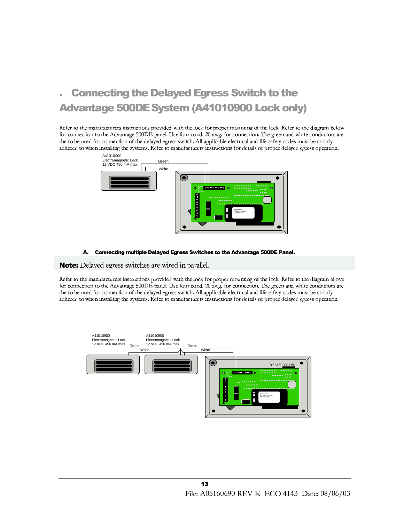## **Connecting the Delayed Egress Switch to the** Advantage 500DE System (A41010900 Lock only)

Refer to the manufacturers instructions provided with the lock for proper mounting of the lock. Refer to the diagram below for connection to the Advantage 500DE panel. Use four cond. 20 awg. for connection. The green and white conductors are the to be used for connection of the delayed egress switch. All applicable electrical and life safety codes must be strictly adhered to when installing the systems. Refer to manufacturers instructions for details of proper delayed egress operation.



#### **Connecting multiple Delayed Egress Switches to the Advantage 500DE Panel.** А.

**Note:** Delayed egress switches are wired in parallel.

Refer to the manufacturers instructions provided with the lock for proper mounting of the lock. Refer to the diagram above for connection to the Advantage 500DE panel. Use four cond. 20 awg. for connection. The green and white conductors are the to be used for connection of the delayed egress switch. All applicable electrical and life safety codes must be strictly adhered to when installing the systems. Refer to manufacturers instructions for details of proper delayed egress operation.

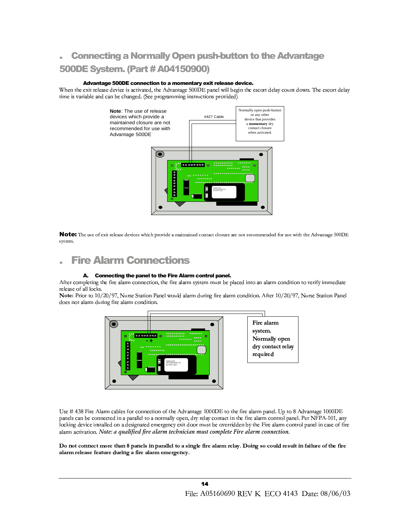### **Connecting a Normally Open push-button to the Advantage 500DE System. (Part # A04150900)**

#### Advantage 500DE connection to a momentary exit release device.

When the exit release device is activated, the Advantage 500DE panel will begin the escort delay count down. The escort delay time is variable and can be changed. (See programming instructions provided)



Note: The use of exit release devices which provide a maintained contact dosure are not recommended for use with the Advantage 500DE system.

### **Fire Alarm Connections**

#### A. Connecting the panel to the Fire Alarm control panel.

After completing the fire alarm connection, the fire alarm system must be placed into an alarm condition to verify immediate release of all locks.

Note: Prior to 10/20/97, Nurse Station Panel would alarm during fire alarm condition. After 10/20/97, Nurse Station Panel does not alarm during fire alarm condition.



Use # 438 Fire Alarm cables for connection of the Advantage 1000DE to the fire alarm panel. Up to 8 Advantage 1000DE panels can be connected in a parallel to a normally open, dry relay contact in the fire alarm control panel. Per NFPA-101, any locking device installed on a designated emergency exit door must be overridden by the Fire alarm control panel in case of fire alarm activation. Note: a qualified fire alarm technician must complete Fire alarm connection.

Do not connect more than 8 panels in parallel to a single fire alarm relay. Doing so could result in failure of the fire alarm release feature during a fire alarm emergency.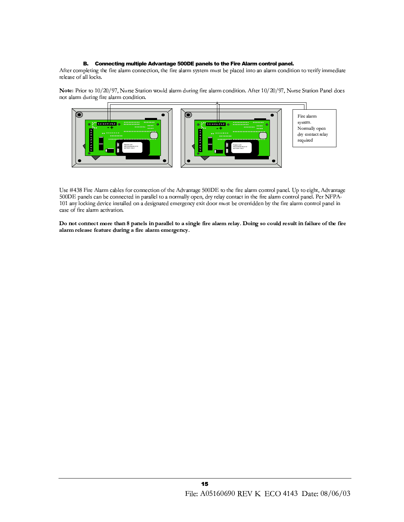#### B. Connecting multiple Advantage 500DE panels to the Fire Alarm control panel.

After completing the fire alarm connection, the fire alarm system must be placed into an alarm condition to verify immediate release of all locks.

Note: Prior to 10/20/97, Nurse Station would alarm during fire alarm condition. After 10/20/97, Nurse Station Panel does not alarm during fire alarm condition.



Use #438 Fire Alarm cables for connection of the Advantage 500DE to the fire alarm control panel. Up to eight, Advantage 500DE panels can be connected in parallel to a normally open, dry relay contact in the fire alarm control panel. Per NFPA-101 any locking device installed on a designated emergency exit door must be overridden by the fire alarm control panel in case of fire alarm activation.

Do not connect more than 8 panels in parallel to a single fire alarm relay. Doing so could result in failure of the fire alarm release feature during a fire alarm emergency.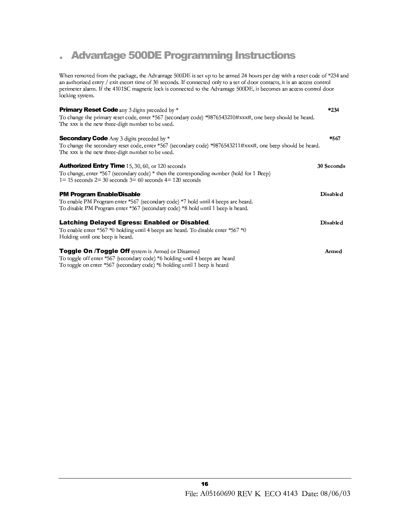#### **Advantage 500DE Programming Instructions** i.

When removed from the package, the Advantage 500DE is set up to be armed 24 hours per day with a reset code of \*234 and an authorized entry / exit escort time of 30 seconds. If connected only to a set of door contacts, it is an access control perimeter alarm. If the 4101SC magnetic lock is connected to the Advantage 500DE, it becomes an access control door locking system.

| <b>Primary Reset Code</b> any 3 digits preceded by *<br>To change the primary reset code, enter *567 (secondary code) *9876543210#xxx#, one beep should be heard.<br>The xxx is the new three-digit number to be used. | $*234$          |
|------------------------------------------------------------------------------------------------------------------------------------------------------------------------------------------------------------------------|-----------------|
| <b>Secondary Code</b> Any 3 digits preceded by *<br>To change the secondary reset code, enter *567 (secondary code) *9876543211#xxx#, one beep should be heard.<br>The xxx is the new three-digit number to be used.   | *567            |
| <b>Authorized Entry Time</b> 15, 30, 60, or 120 seconds<br>To change, enter *567 (secondary code) * then the corresponding number (hold for 1 Beep)<br>$1=15$ seconds $2=30$ seconds $3=60$ seconds $4=120$ seconds    | 30 Seconds      |
| <b>PM Program Enable/Disable</b><br>To enable PM Program enter *567 (secondary code) *7 hold until 4 beeps are heard.<br>To disable PM Program enter *567 (secondary code) *8 hold until 1 beep is heard.              | <b>Disabled</b> |
| <b>Latching Delayed Egress: Enabled or Disabled.</b><br>To enable enter $*567 *0$ holding until 4 beeps are heard. To disable enter $*567 *0$<br>Holding until one beep is heard.                                      | <b>Disabled</b> |
| <b>Toggle On /Toggle Off</b> system is Armed or Disarmed<br>To toggle off enter *567 (secondary code) *6 holding until 4 beeps are heard<br>To toggle on enter *567 (secondary code) *6 holding until 1 beep is heard  | Armed           |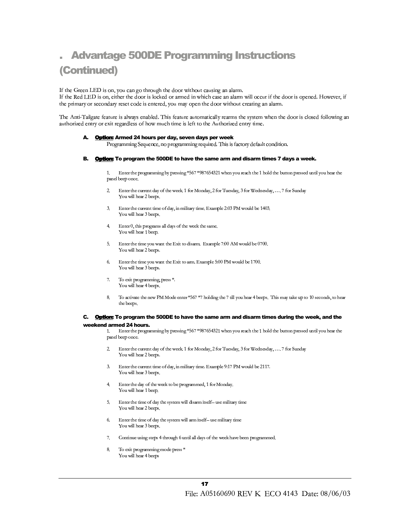### **Advantage 500DE Programming Instructions** (Continued)

If the Green LED is on, you can go through the door without causing an alarm.

If the Red LED is on, either the door is locked or armed in which case an alarm will occur if the door is opened. However, if the primary or secondary reset code is entered, you may open the door without creating an alarm.

The Anti-Tailgate feature is always enabled. This feature automatically rearms the system when the door is closed following an authorized entry or exit regardless of how much time is left to the Authorized entry time.

#### Option: Armed 24 hours per day, seven days per week

Programming Sequence, no programming required. This is factory default condition.

#### Option: To program the 500DE to have the same arm and disarm times 7 days a week. В.

Enter the programming by pressing \*567 \*987654321 when you reach the 1 hold the button pressed until you hear the  $\mathbf{1}$ panel beep once.

- $\overline{2}$ Enter the current day of the week. 1 for Monday, 2 for Tuesday, 3 for Wednesday, .... 7 for Sunday You will hear 2 beeps.
- Enter the current time of day, in military time. Example 2:03 PM would be 1403. 3. You will hear 3 beeps.
- Enter 0, this programs all days of the week the same.  $4.$ You will hear 1 beep.
- $5<sub>1</sub>$ Enter the time you want the Exit to disarm. Example 7:00 AM would be 0700. You will hear 2 beeps.
- Enter the time you want the Exit to arm. Example 5:00 PM would be 1700. 6. You will hear 3 beeps.
- $7.$ To exit programming, press \*. You will hear 4 beeps.
- To activate the new PM Mode enter \*567 \*7 holding the 7 till you hear 4 beeps. This may take up to 10 seconds, to hear 8. the beeps.

#### C. Option: To program the 500DE to have the same arm and disarm times during the week, and the weekend armed 24 hours.

Enter the programming by pressing \*567 \*987654321 when you reach the 1 hold the button pressed until you hear the 1. panel beep once.

- Enter the current day of the week. 1 for Monday, 2 for Tuesday, 3 for Wednesday, .... 7 for Sunday 2. You will hear 2 beeps.
- Enter the current time of day, in military time. Example 9:17 PM would be 2117. 3. You will hear 3 beeps.
- Enter the day of the week to be programmed, 1 for Monday.  $4<sup>1</sup>$ You will hear 1 beep.
- $5^{\circ}$ Enter the time of day the system will disarm itself- use military time You will hear 2 beeps.
- Enter the time of day the system will arm itself- use military time 6. You will hear 3 beeps.
- Continue using steps 4 through 6 until all days of the week have been programmed.  $7.$
- $\mathbf{g}$ To exit programming mode press \* You will hear 4 beeps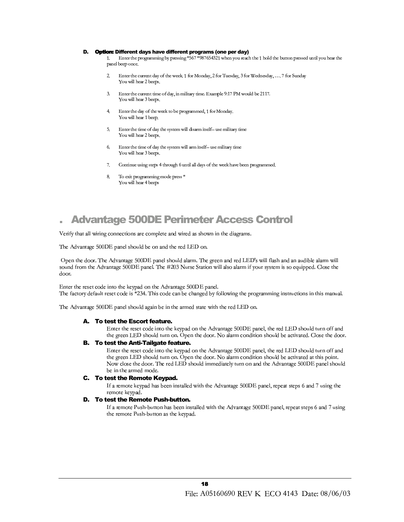#### D. Option: Different days have different programs (one per day)

Enter the programming by pressing \*567 \*987654321 when you reach the 1 hold the button pressed until you hear the  $1$ panel beep once.

- $\overline{2}$ Enter the current day of the week. 1 for Monday, 2 for Tuesday, 3 for Wednesday, .... 7 for Sunday You will hear 2 beeps.
- Enter the current time of day, in military time. Example 9:17 PM would be 2117. You will hear 3 beeps.
- Enter the day of the week to be programmed, 1 for Monday.  $\overline{4}$ You will hear 1 beep.
- Enter the time of day the system will disarm itself- use military time  $5^{\circ}$ You will hear 2 beeps.
- 6. Enter the time of day the system will arm itself- use military time You will hear 3 beeps.
- Continue using steps 4 through 6 until all days of the week have been programmed. 7.
- $\mathbf{g}$ To exit programming mode press \* You will hear 4 beeps

### **Advantage 500DE Perimeter Access Control**

Verify that all wiring connections are complete and wired as shown in the diagrams.

The Advantage 500DE panel should be on and the red LED on.

Open the door. The Advantage 500DE panel should alarm. The green and red LED's will flash and an audible alarm will sound from the Advantage 500DE panel. The #203 Nurse Station will also alarm if your system is so equipped. Close the door.

Enter the reset code into the keypad on the Advantage 500DE panel. The factory default reset code is \*234. This code can be changed by following the programming instructions in this manual.

The Advantage 500DE panel should again be in the armed state with the red LED on.

#### A. To test the Escort feature.

Enter the reset code into the keypad on the Advantage 500DE panel, the red LED should turn off and the green LED should turn on. Open the door. No alarm condition should be activated. Close the door.

#### **B.** To test the Anti-Tailgate feature.

Enter the reset code into the keypad on the Advantage 500DE panel, the red LED should turn off and the green LED should turn on. Open the door. No alarm condition should be activated at this point. Now close the door. The red LED should immediately turn on and the Advantage 500DE panel should be in the armed mode.

#### C. To test the Remote Keypad.

If a remote keypad has been installed with the Advantage 500DE panel, repeat steps 6 and 7 using the remote keypad.

#### D. To test the Remote Push-button.

If a remote Push-button has been installed with the Advantage 500DE panel, repeat steps 6 and 7 using the remote Push-button as the keypad.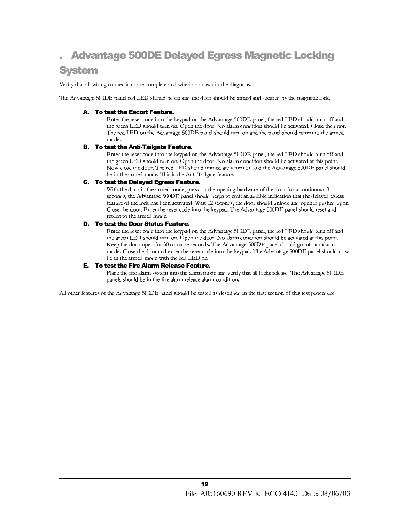## **Advantage 500DE Delayed Egress Magnetic Locking**

### **System**

Verify that all wiring connections are complete and wired as shown in the diagrams.

The Advantage 500DE panel red LED should be on and the door should be armed and secured by the magnetic lock.

#### A. To test the Escort Feature.

Enter the reset code into the keypad on the Advantage 500DE panel, the red LED should turn off and the green LED should turn on. Open the door. No alarm condition should be activated. Close the door. The red LED on the Advantage 500DE panel should turn on and the panel should return to the armed mode.

#### **B.** To test the Anti-Tailgate Feature.

Enter the reset code into the keypad on the Advantage 500DE panel, the red LED should turn off and the green LED should turn on. Open the door. No alarm condition should be activated at this point. Now close the door. The red LED should immediately turn on and the Advantage 500DE panel should be in the armed mode. This is the Anti-Tailgate feature.

#### C. To test the Delayed Egress Feature.

With the door in the armed mode, press on the opening hardware of the door for a continuous 3 seconds, the Advantage 500DE panel should begin to emit an audible indication that the delayed egress feature of the lock has been activated. Wait 12 seconds, the door should unlock and open if pushed upon. Close the door. Enter the reset code into the keypad. The Advantage 500DE panel should reset and return to the armed mode.

#### D. To test the Door Status Feature.

Enter the reset code into the keypad on the Advantage 500DE panel, the red LED should turn off and the green LED should turn on. Open the door. No alarm condition should be activated at this point. Keep the door open for 30 or more seconds. The Advantage 500DE panel should go into an alarm mode. Close the door and enter the reset code into the keypad. The Advantage 500DE panel should now be in the armed mode with the red LED on.

### **E.** To test the Fire Alarm Release Feature.

Place the fire alarm system into the alarm mode and verify that all locks release. The Advantage 500DE panels should be in the fire alarm release alarm condition.

All other features of the Advantage 500DE panel should be tested as described in the first section of this test procedure.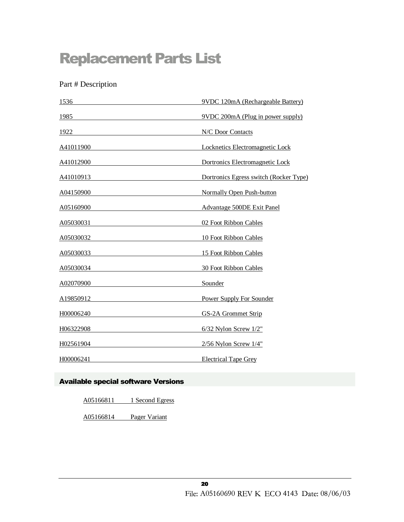# **Replacement Parts List**

Part # Description

| 1536              | 9VDC 120mA (Rechargeable Battery)      |
|-------------------|----------------------------------------|
| 1985              | 9VDC 200mA (Plug in power supply)      |
| 1922              | N/C Door Contacts                      |
| A41011900         | Locknetics Electromagnetic Lock        |
| A41012900         | Dortronics Electromagnetic Lock        |
| A41010913         | Dortronics Egress switch (Rocker Type) |
| A04150900         | Normally Open Push-button              |
| <u>A05160900_</u> | Advantage 500DE Exit Panel             |
| A05030031         | 02 Foot Ribbon Cables                  |
| A05030032         | 10 Foot Ribbon Cables                  |
| A05030033         | 15 Foot Ribbon Cables                  |
| A05030034         | 30 Foot Ribbon Cables                  |
| A02070900         | Sounder                                |
| A19850912         | <b>Power Supply For Sounder</b>        |
| H00006240         | GS-2A Grommet Strip                    |
| H06322908         | $6/32$ Nylon Screw $1/2$ "             |
| H02561904         | $2/56$ Nylon Screw $1/4$ "             |
| H00006241         | <b>Electrical Tape Grey</b>            |

### Available special software Versions

A05166811 1 Second Egress

A05166814 Pager Variant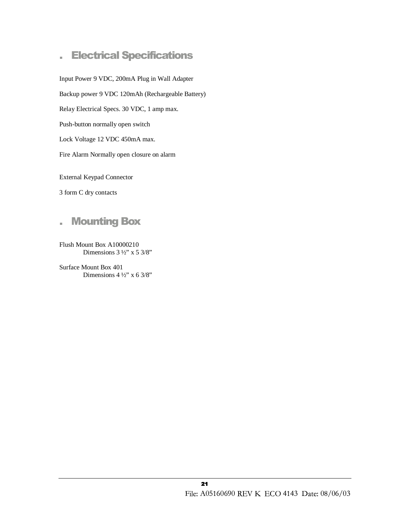#### **Electrical Specifications** i.

Input Power 9 VDC, 200mA Plug in Wall Adapter Backup power 9 VDC 120mAh (Rechargeable Battery) Relay Electrical Specs. 30 VDC, 1 amp max. Push-button normally open switch Lock Voltage 12 VDC 450mA max. Fire Alarm Normally open closure on alarm

**External Keypad Connector** 

3 form C dry contacts



Flush Mount Box A10000210 Dimensions  $3\frac{1}{2}$ " x  $5\frac{3}{8}$ "

Surface Mount Box 401 Dimensions  $4\frac{1}{2}$  x 6 3/8"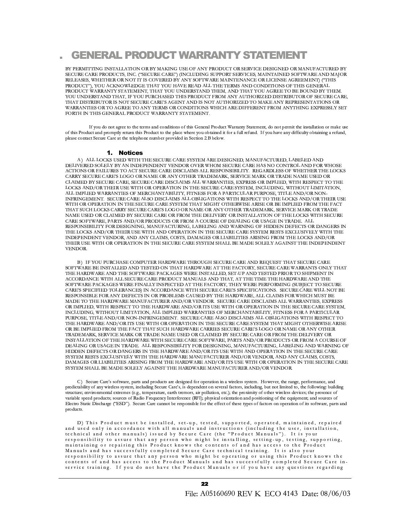### **GENERAL PRODUCT WARRANTY STATEMENT**

BY PERMITTING INSTALLATION OR BY MAKING USE OF ANY PRODUCT OR SERVICE DESIGNED OR MANUFACTURED BY SECURE CARE PRODUCTS, INC. ("SECURE CARE") (INCLUDING SUPPORT SERVICES, MAINTAINED SOFTWARE AND MAJOR RELEASES, WHETHER OR NOT IT IS COVERED BY ANY SOFTWARE MAINTENANCE OR LICENSE AGREEMENT) ("THIS PRODUCT"), YOU ACKNOWLEDGE THAT YOU HAVE READ ALL THE TERMS AND CONDITIONS OF THIS GENERAL PRODUCT WARRANTY STATEMENT, THAT YOU UNDERSTAND THEM, AND THAT YOU AGREE TO BE BOUND BY THEM. YOU UNDERSTAND THAT, IF YOU PURCHASED THIS PRODUCT FROM ANY AUTHORIZED DISTRIBUTOR OF SECURE CARE, THAT DISTRIBUTOR IS NOT SECURE CARE'S AGENT AND IS NOT AUTHORIZED TO MAKE ANY REPRESENTATIONS OR WARRANTIES OR TO AGREE TO ANY TERMS OR CONDITIONS WHICH ARE DIFFERENT FROM ANYTHING EXPRESSLY SET FORTH IN THIS GENERAL PRODUCT WARRANTY STATEMENT.

If you do not agree to the terms and conditions of this General Product Warranty Statement, do not permit the installation or make use of this Product and promptly return this Product to the place where you obtained it for a full refund. If you have any difficulty obtaining a refund, please contact Secure Care at the telephone number provided in Section 2.B below.

#### 1. Notices

A) ALL LOCKS USED WITH THE SECURE CARE SYSTEM ARE DESIGNED, MANUFACTURED, LABELED AND DELIVERED SOLELY BY AN INDEPENDENT VENDOR OVER WHOM SECURE CARE HAS NO CONTROL AND FOR WHOSE ACTIONS OR FAILURES TO ACT SECURE CARE DISCLAIMS ALL RESPONSIBILITY. REGARDLESS OF WHETHER THE LOCKS CARRY SECURE CARE'S LOGO OR NAME OR ANY OTHER TRADEMARK, SERVICE MARK OR TRADE NAME USED OR CLAIMED BY SECURE CARE, SECURE CARE DISCLAIMS ALL WARRANTIES, EXPRESS OR IMPLIED, WITH RESPECT TO THE LOCKS AND/OR THEIR USE WITH OR OPERATION IN THE SECURE CARE SYSTEM, INCLUDING, WITHOUT LIMITATION, ALL IMPLIED WARRANTIES OF MERCHANTABILITY, FITNESS FOR A PARTICULAR PURPOSE, TITLE AND/OR NON-INFRINGEMENT. SECURE CARE ALSO DISCLAIMS ALL OBLIGATIONS WITH RESPECT TO THE LOCKS AND/OR THEIR USE WITH OR OPERATION IN THE SECURE CARE SYSTEM THAT MIGHT OTHERWISE ARISE OR BE IMPLIED FROM THE FACT THAT SUCH LOCKS CARRY SECURE CARE'S LOGO OR NAME OR ANY OTHER TRADEMARK, SERVICE MARK OR TRADE NAME USED OR CLAIMED BY SECURE CARE OR FROM THE DELIVERY OR INSTALLATION OF THE LOCKS WITH SECURE CARE SOFTWARE, PARTS AND/OR PRODUCTS OR FROM A COURSE OF DEALING OR USAGE IN TRADE. ALL RESPONSIBILITY FOR DESIGNING, MANUFACTURING, LABELING AND WARNING OF HIDDEN DEFECTS OR DANGERS IN THE LOCKS AND/OR THEIR USE WITH AND OPERATION IN THE SECURE CARE SYSTEM RESTS EXCLUSIVELY WITH THE INDEPENDENT VENDOR, AND ANY CLAIMS, COSTS, DAMAGES OR LIABILITIES ARISING FROM THE LOCKS AND/OR THEIR USE WITH OR OPERATION IN THE SECURE CARE SYSTEM SHALL BE MADE SOLELY AGAINST THE INDEPENDENT **VENDOR** 

B) IF YOU PURCHASE COMPUTER HARDWARE THROUGH SECURE CARE AND REQUEST THAT SECURE CARE SOFTWARE BE INSTALLED AND TESTED ON THAT HARDWARE AT THE FACTORY, SECURE CARE WARRANTS ONLY THAT THE HARDWARE AND THE SOFTWARE PACKAGES WERE INSTALLED, SET-UP AND TESTED PRIOR TO SHIPMENT IN ACCORDANCE WITH ALL SECURE CARE PRODUCT MANUALS AND THAT, AT THE TIME THE HARDWARE AND THE SOFTWARE PACKAGES WERE FINALLY INSPECTED AT THE FACTORY, THEY WERE PERFORMING (SUBJECT TO SECURE CARE'S SPECIFIED TOLERANCES) IN ACCORDANCE WITH SECURE CARE'S SPECIFICATIONS. SECURE CARE WILL NOT BE RESPONSIBLE FOR ANY DEFECTS IN OR PROBLEMS CAUSED BY THE HARDWARE, ALL CLAIMS FOR WHICH MUST BE MADE TO THE HARDWARE MANUFACTURER AND/OR VENDOR. SECURE CARE DISCLAIMS ALL WARRANTIES, EXPRESS OR IMPLIED, WITH RESPECT TO THE HARDWARE AND/OR ITS USE WITH OR OPERATION IN THE SECURE CARE SYSTEM, INCLUDING, WITHOUT LIMITATION, ALL IMPLIED WARRANTIES OF MERCHANTABILITY, FITNESS FOR A PARTICULAR PURPOSE, TITLE AND/OR NON-INFRINGEMENT. SECURE CARE ALSO DISCLAIMS ALL OBLIGATIONS WITH RESPECT TO THE HARDWARE AND/OR ITS USE WITH OR OPERATION IN THE SECURE CARE SYSTEM THAT MIGHT OTHERWISE ARISE OR BE IMPLIED FROM THE FACT THAT SUCH HARDWARE CARRIES SECURE CARE'S LOGO OR NAME OR ANY OTHER TRADEMARK, SERVICE MARK OR TRADE NAME USED OR CLAIMED BY SECURE CARE OR FROM THE DELIVERY OR INSTALLATION OF THE HARDWARE WITH SECURE CARE SOFTWARE, PARTS AND/OR PRODUCTS OR FROM A COURSE OF DEALING OR USAGE IN TRADE. ALL RESPONSIBILITY FOR DESIGNING, MANUFACTURING, LABELING AND WARNING OF HIDDEN DEFECTS OR DANGERS IN THE HARDWARE AND/OR ITS USE WITH AND OPERATION IN THE SECURE CARE SYSTEM RESTS EXCLUSIVELY WITH THE HARDWARE MANUFACTURER AND/OR VENDOR, AND ANY CLAIMS, COSTS, DAMAGES OR LIABILITIES ARISING FROM THE HARDWARE AND/OR ITS USE WITH OR OPERATION IN THE SECURE CARE SYSTEM SHALL BE MADE SOLELY AGAINST THE HARDWARE MANUFACTURER AND/OR VENDOR.

C) Secure Care's software, parts and products are designed for operation in a wireless system. However, the range, performance, and predictability of any wireless system, including Secure Care's, is dependent on several factors, including, but not limited to, the following: building structure; environmental extremes (e.g., temperature, earth tremors, air pollution, etc.); the proximity of other wireless devices; the presence of variable speed products; sources of Radio Frequency Interference (RFI); physical orientation and positioning of the equipment; and sources of Electro Static Discharge ("ESD"). Secure Care cannot be responsible for the effect of these types of factors on operation of its software, parts and products.

D) This Product must be installed, set-up, tested, supported, operated, maintained, repaired and used only in accordance with all manuals and instructions (including the user, installation, technical and other manuals) issued by Secure Care (the "Product Manuals"). It is your responsibility to assure that any person who might be installing, setting-up, testing, supporting, maintaining or repairing this Product knows the contents of and has access to the Product Manuals and has successfully completed Secure Care technical training. It is also your responsibility to assure that any person who might be operating or using this Product knows the contents of and has access to the Product Manuals and has successfully completed Secure Care inservice training. If you do not have the Product Manuals or if you have any questions regarding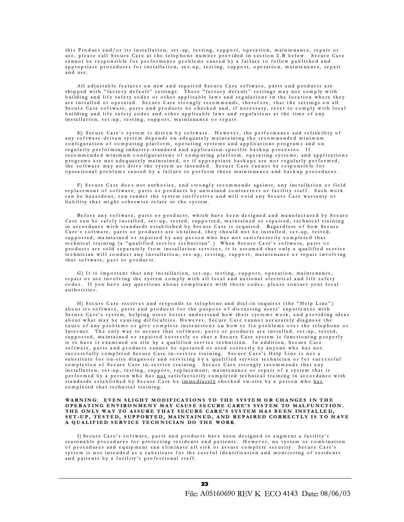this Product and/or its installation, set-up, testing, support, operation, maintenance, repair or use, please call Secure Care at the telephone number provided in section 2.B below. Secure Care cannot be responsible for performance problems caused by a failure to follow published and appropriate procedures for installation, set-up, testing, support, operation, maintenance, repair and use.

All adjustable features on new and repaired Secure Care software, parts and products are shipped with "factory default" settings. These "factory default" settings may not comply with building and life safety codes or other applicable laws and regulations in the location where they are installed or operated. Secure Care strongly recommends, therefore, that the settings on all Secure Care software, parts and products be checked and, if necessary, reset to comply with local building and life safety codes and other applicable laws and regulations at the time of any installation, set-up, testing, support, maintenance or repair.

E) Secure Care's system is driven by software. However, the performance and reliability of any software-driven system depends on adequately maintaining the recommended minimum configuration of computing platform, operating systems and applications programs and on regularly performing industry-standard and application-specific backup processes. If recommended minimum configurations of computing platform, operating systems, and applications programs are not adequately maintained, or if appropriate backups are not regularly performed, the software may not drive the system as intended. Secure Care cannot be responsible for operational problems caused by a failure to perform these maintenance and backup procedures.

F) Secure Care does not authorize, and strongly recommends against, any installation or field replacement of software, parts or products by untrained contractors or facility staff. Such work can be hazardous, can render the system ineffective and will void any Secure Care warranty or liability that might otherwise relate to the system.

Before any software, parts or products, which have been designed and manufactured by Secure Care can be safely installed, set-up, tested, supported, maintained or repaired, technical training in accordance with standards established by Secure Care is required. Regardless of how Secure Care's software, parts or products are obtained, they should not be installed, set-up, tested, supported, maintained or repaired by any person who has not satisfactorily completed that technical training (a "qualified service technician".) When Secure Care's software, parts or products are sold separately from installation services, it is assumed that only a qualified service technician will conduct any installation, set-up, testing, support, maintenance or repair involving that software, part or products.

G) It is important that any installation, set up, testing, support, operation, maintenance, repair or use involving the system comply with all local and national electrical and life safety codes. If you have any questions about compliance with those codes, please contact your local authorities.

H) Secure Care receives and responds to telephone and dial-in inquires (the "Help Line") about its software, parts and products for the purpose of discussing users' experiences with Secure Care's system, helping users better understand how their systems work, and providing ideas about what may be causing difficulties. However, Secure Care cannot accurately diagnose the cause of any problems or give complete instructions on how to fix problems over the telephone or Internet. The only way to assure that software, parts or products are installed, set-up, tested, supported, maintained or repaired correctly or that a Secure Care system is functioning properly is to have it examined on site by a qualified service technician. In addition, Secure Care software, parts and products cannot be operated or used correctly by anyone who has not successfully completed Secure Care in-service training. Secure Care's Help Line is not a substitute for on-site diagnosis and servicing by a qualified service technician or for successful completion of Secure Care in-service training. Secure Care strongly recommends that any installation, set-up, testing, support, replacement, maintenance or repair of a system that is performed by a person who has not satisfactorily completed technical training in accordance with<br>standards established by Secure Care be immediately checked on-site by a person who has completed that technical training.

#### WARNING: EVEN SLIGHT MODIFICATIONS TO THE SYSTEM OR CHANGES IN THE OPERATING ENVIRONMENT MAY CAUSE SECURE CARE'S SYSTEM TO MALFUNCTION.<br>THE ONLY WAY TO ASSURE THAT SECURE CARE'S SYSTEM HAS BEEN INSTALLED, SET-UP, TESTED, SUPPORTED, MAINTAINED, AND REPAIRED CORRECTLY IS TO HAVE A QUALIFIED SERVICE TECHNICIAN DO THE WORK.

I) Secure Care's software, parts and products have been designed to augment a facility's reasonable procedures for protecting residents and patients. However, no system or combination of procedures and equipment can eliminate all risk or assure complete security. Secure Care's system is not intended as a substitute for the careful identification and monitoring of residents and patients by a facility's professional staff.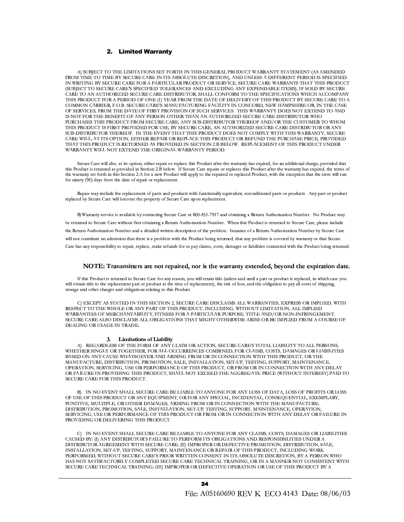#### 2. Limited Warranty

A) SUBJECT TO THE LIMITATIONS SET FORTH IN THIS GENERAL PRODUCT WARRANTY STATEMENT (AS AMENDED FROM TIME TO TIME BY SECURE CARE IN ITS ABSOLUTE DISCRETION), AND UNLESS A DIFFERENT PERIOD IS SPECIFIED IN WRITING BY SECURE CARE FOR A PARTICULAR PRODUCT OR SERVICE, SECURE CARE WARRANTS THAT THIS PRODUCT (SUBJECT TO SECURE CARE'S SPECIFIED TOLERANCES AND EXCLUDING ANY EXPENDABLE ITEMS), IF SOLD BY SECURE CARE TO AN AUTHORIZED SECURE CARE DISTRIBUTOR, SHALL CONFORM TO THE SPECIFICATIONS WHICH ACCOMPANY THIS PRODUCT FOR A PERIOD OF ONE (1) YEAR FROM THE DATE OF DELIVERY OF THIS PRODUCT BY SECURE CARE TO A COMMON CARRIER, F.O.B. SECURE CARE'S MANUFACTURING FACILITY IN CONCORD, NEW HAMPSHIRE OR, IN THE CASE OF SERVICES, FROM THE DATE OF FIRST PROVISION OF SUCH SERVICES. THIS WARRANTY DOES NOT EXTEND TO AND IS NOT FOR THE BENEFIT OF ANY PERSON OTHER THAN AN AUTHORIZED SECURE CARE DISTRIBUTOR WHO PURCHASES THIS PRODUCT FROM SECURE CARE, ANY SUB-DISTRIBUTOR THEREOF AND/OR THE CUSTOMER TO WHOM THIS PRODUCT IS FIRST PROVIDED FOR USE, BY SECURE CARE, AN AUTHORIZED SECURE CARE DISTRIBUTOR OR ANY SUB-DISTRIBUTOR THEREOF. IN THE EVENT THAT THIS PRODUCT DOES NOT COMPLY WITH THIS WARRANTY, SECURE CARE WILL, AT ITS OPTION, EITHER REPAIR OR REPLACE THIS PRODUCT OR REFUND THE PURCHASE PRICE, PROVIDED THAT THIS PRODUCT IS RETURNED AS PROVIDED IN SECTION 2.B BELOW. REPLACEMENT OF THIS PRODUCT UNDER WARRANTY WILL NOT EXTEND THE ORIGINAL WARRANTY PERIOD.

Secure Care will also, at its option, either repair or replace this Product after the warranty has expired, for an additional charge, provided that this Product is returned as provided in Section 2.B below. If Secure Care repairs or replaces this Product after the warranty has expired, the terms of the warranty set forth in this Section 2.A for a new Product will apply to the repaired or replaced Product, with the exception that the term will run for ninety (90) days from the date of repair or replacement.

Repair may include the replacement of parts and products with functionally equivalent, reconditioned parts or products. Any part or product replaced by Secure Care will become the property of Secure Care upon replacement.

B) Warranty service is available by contacting Secure Care at 800-451-7917 and obtaining a Return Authorization Number. No Product may be returned to Secure Care without first obtaining a Return Authorization Number. When this Product is returned to Secure Care, please include the Return Authorization Number and a detailed written description of the problem. Issuance of a Return Authorization Number by Secure Care will not constitute an admission that there is a problem with the Product being returned, that any problem is covered by warranty or that Secure Care has any responsibility to repair, replace, make refunds for or pay claims, costs, damages or liabilities connected with the Product being returned.

#### NOTE: Transmitters are not repaired, nor is the warranty extended, beyond the expiration date.

If this Product is returned to Secure Care for any reason, you will retain title (unless and until a part or product is replaced, in which case you will obtain title to the replacement part or product at the time of replacement), the risk of loss, and the obligation to pay all costs of shipping, storage and other charges and obligations relating to this Product.

C) EXCEPT AS STATED IN THIS SECTION 2, SECURE CARE DISCLAIMS ALL WARRANTIES, EXPRESS OR IMPLIED, WITH RESPECT TO THE WHOLE OR ANY PART OF THIS PRODUCT, INCLUDING, WITHOUT LIMITATION, ALL IMPLIED WARRANTIES OF MERCHANTABILITY, FITNESS FOR A PARTICULAR PURPOSE, TITLE AND/OR NON-INFRINGEMENT. SECURE CARE ALSO DISCLAIMS ALL OBLIGATIONS THAT MIGHT OTHERWISE ARISE OR BE IMPLIED FROM A COURSE OF DEALING OR USAGE IN TRADE.

#### 3. Limitations of Liability

A) REGARDLESS OF THE FORM OF ANY CLAIM OR ACTION, SECURE CARE'S TOTAL LIABILITY TO ALL PERSONS, WHETHER SINGLY OR TOGETHER, FOR ALL OCCURRENCES COMBINED, FOR CLAIMS, COSTS, DAMAGES OR LIABILITIES BASED ON ANY CAUSE WHATSOEVER AND ARISING FROM OR IN CONNECTION WITH THIS PRODUCT, OR THE MANUFACTURE, DISTRIBUTION, PROMOTION, SALE, INSTALLATION, SET-UP, TESTING, SUPPORT, MAINTENANCE, OPERATION, SERVICING, USE OR PERFORMANCE OF THIS PRODUCT, OR FROM OR IN CONNECTION WITH ANY DELAY OR FAILURE IN PROVIDING THIS PRODUCT, SHALL NOT EXCEED THE AGGREGATE PRICE (WITHOUT INTEREST) PAID TO SECURE CARE FOR THIS PRODUCT.

B) IN NO EVENT SHALL SECURE CARE BE LIABLE TO ANYONE FOR ANY LOSS OF DATA, LOSS OF PROFITS OR LOSS OF USE OF THIS PRODUCT OR ANY EQUIPMENT, OR FOR ANY SPECIAL, INCIDENTAL, CONSEQUENTIAL, EXEMPLARY, PUNITIVE, MULTIPLE, OR OTHER DAMAGES, ARISING FROM OR IN CONNECTION WITH THE MANUFACTURE, DISTRIBUTION, PROMOTION, SALE, INSTALLATION, SET-UP, TESTING, SUPPORT, MAINTENANCE, OPERATION, SERVICING, USE OR PERFORMANCE OF THIS PRODUCT OR FROM OR IN CONNECTION WITH ANY DELAY OR FAILURE IN PROVIDING OR DELIVERING THIS PRODUCT.

C) IN NO EVENT SHALL SECURE CARE BE LIABLE TO ANYONE FOR ANY CLAIMS, COSTS, DAMAGES OR LIABILITIES CAUSED BY: (I) ANY DISTRIBUTOR'S FAILURE TO PERFORM ITS OBLIGATIONS AND RESPONSIBILITIES UNDER A DISTRIBUTOR AGREEMENT WITH SECURE CARE; (II) IMPROPER OR DEFECTIVE PROMOTION, DISTRIBUTION, SALE, INSTALLATION, SET-UP, TESTING, SUPPORT, MAINTENANCE OR REPAIR OF THIS PRODUCT, INCLUDING WORK PERFORMED, WITHOUT SECURE CARE'S PRIOR WRITTEN CONSENT IN ITS ABSOLUTE DISCRETION, BY A PERSON WHO HAS NOT SATISFACTORILY COMPLETED SECURE CARE TECHNICAL TRAINING, OR IN A MANNER NOT CONSISTENT WITH SECURE CARE TECHNICAL TRAINING; (III) IMPROPER OR DEFECTIVE OPERATION OR USE OF THIS PRODUCT BY A